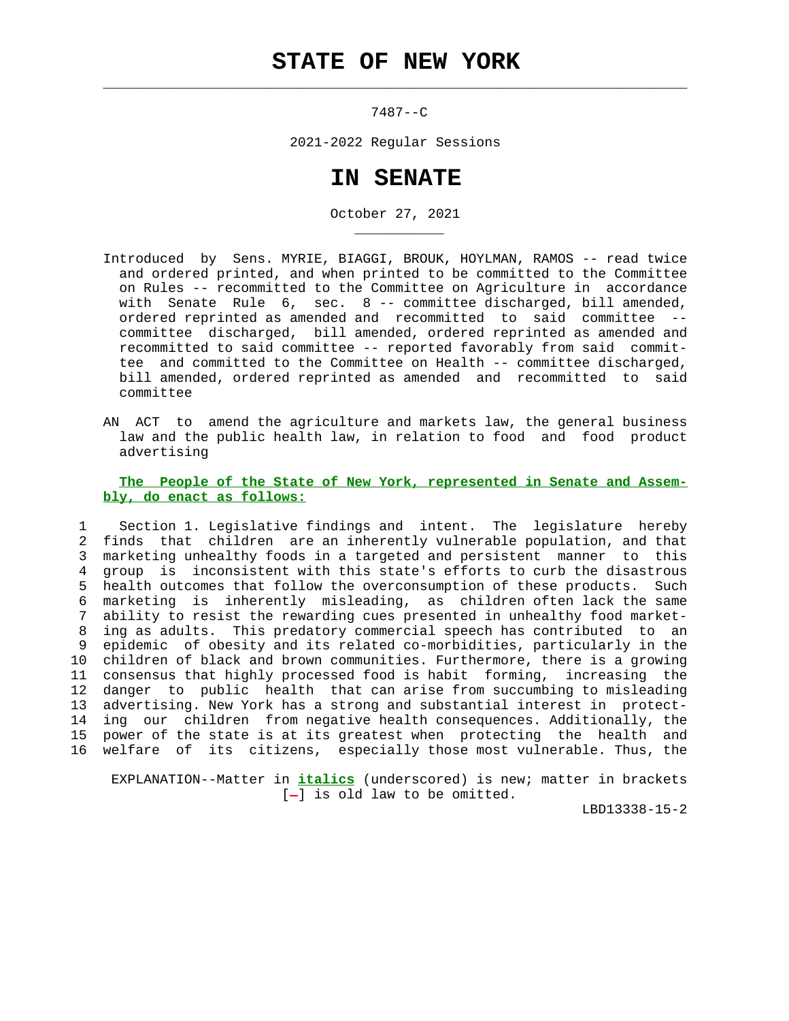$\mathcal{L}_\text{max} = \frac{1}{2} \sum_{i=1}^{n} \frac{1}{2} \sum_{i=1}^{n} \frac{1}{2} \sum_{i=1}^{n} \frac{1}{2} \sum_{i=1}^{n} \frac{1}{2} \sum_{i=1}^{n} \frac{1}{2} \sum_{i=1}^{n} \frac{1}{2} \sum_{i=1}^{n} \frac{1}{2} \sum_{i=1}^{n} \frac{1}{2} \sum_{i=1}^{n} \frac{1}{2} \sum_{i=1}^{n} \frac{1}{2} \sum_{i=1}^{n} \frac{1}{2} \sum_{i=1}^{n} \frac{1$ 

\_\_\_\_\_\_\_\_\_\_\_

7487--C

2021-2022 Regular Sessions

## **IN SENATE**

October 27, 2021

- Introduced by Sens. MYRIE, BIAGGI, BROUK, HOYLMAN, RAMOS -- read twice and ordered printed, and when printed to be committed to the Committee on Rules -- recommitted to the Committee on Agriculture in accordance with Senate Rule 6, sec. 8 -- committee discharged, bill amended, ordered reprinted as amended and recommitted to said committee - committee discharged, bill amended, ordered reprinted as amended and recommitted to said committee -- reported favorably from said commit tee and committed to the Committee on Health -- committee discharged, bill amended, ordered reprinted as amended and recommitted to said committee
- AN ACT to amend the agriculture and markets law, the general business law and the public health law, in relation to food and food product advertising

## **The People of the State of New York, represented in Senate and Assem bly, do enact as follows:**

 1 Section 1. Legislative findings and intent. The legislature hereby 2 finds that children are an inherently vulnerable population, and that 3 marketing unhealthy foods in a targeted and persistent manner to this 4 group is inconsistent with this state's efforts to curb the disastrous 5 health outcomes that follow the overconsumption of these products. Such 6 marketing is inherently misleading, as children often lack the same 7 ability to resist the rewarding cues presented in unhealthy food market- 8 ing as adults. This predatory commercial speech has contributed to an 9 epidemic of obesity and its related co-morbidities, particularly in the 10 children of black and brown communities. Furthermore, there is a growing 11 consensus that highly processed food is habit forming, increasing the 12 danger to public health that can arise from succumbing to misleading 13 advertising. New York has a strong and substantial interest in protect- 14 ing our children from negative health consequences. Additionally, the 15 power of the state is at its greatest when protecting the health and 16 welfare of its citizens, especially those most vulnerable. Thus, the

 EXPLANATION--Matter in **italics** (underscored) is new; matter in brackets  $[-]$  is old law to be omitted.

LBD13338-15-2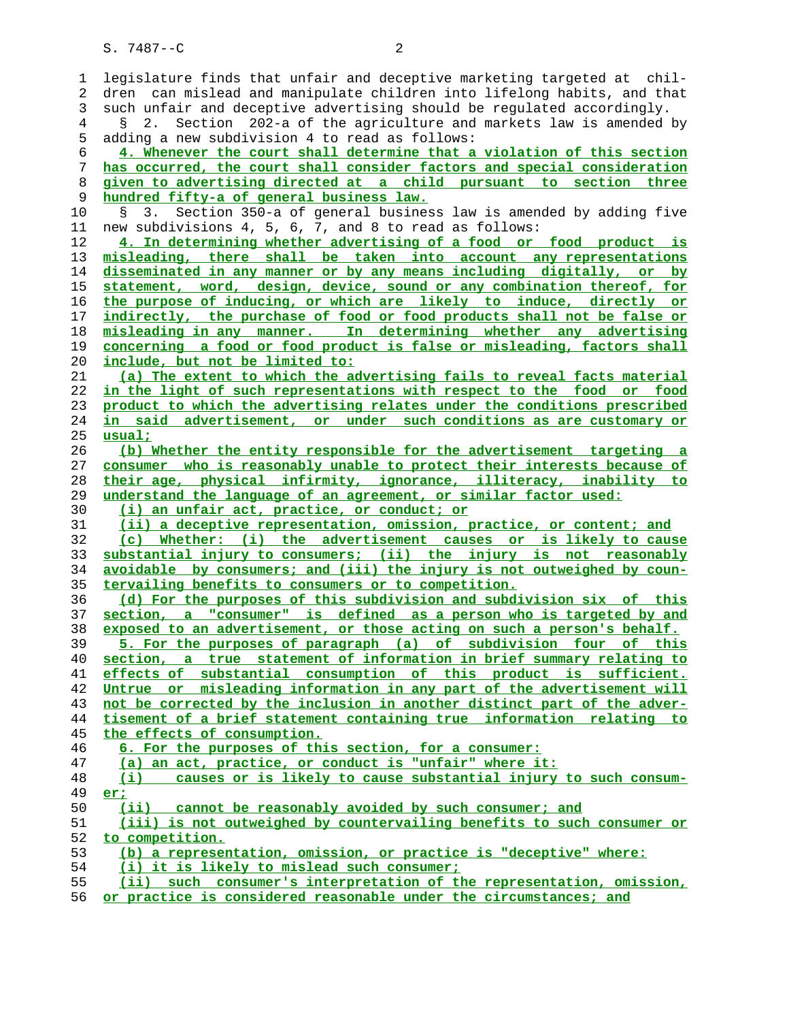S. 7487--C 2

| 1        | legislature finds that unfair and deceptive marketing targeted at chil-                                            |
|----------|--------------------------------------------------------------------------------------------------------------------|
| 2        | dren can mislead and manipulate children into lifelong habits, and that                                            |
| 3        | such unfair and deceptive advertising should be regulated accordingly.                                             |
| 4        | Section 202-a of the agriculture and markets law is amended by<br>2.<br>Š.                                         |
|          |                                                                                                                    |
| 5        | adding a new subdivision 4 to read as follows:                                                                     |
| 6        | 4. Whenever the court shall determine that a violation of this section                                             |
| 7        | has occurred, the court shall consider factors and special consideration                                           |
| 8        | given to advertising directed at a child pursuant to section three                                                 |
| 9        | hundred fifty-a of general business law.                                                                           |
| 10       | Section 350-a of general business law is amended by adding five<br>S.<br>3.                                        |
| 11       | new subdivisions 4, 5, 6, 7, and 8 to read as follows:                                                             |
| 12       | 4. In determining whether advertising of a food or food product is                                                 |
| 13       | misleading, there shall be taken into account any representations                                                  |
| 14       | disseminated in any manner or by any means including digitally, or by                                              |
| 15       | statement, word, design, device, sound or any combination thereof, for                                             |
| 16       | the purpose of inducing, or which are likely to induce, directly or                                                |
| 17       | indirectly, the purchase of food or food products shall not be false or                                            |
| 18       | misleading in any manner. In determining whether any advertising                                                   |
| 19       | concerning a food or food product is false or misleading, factors shall                                            |
|          |                                                                                                                    |
| 20       | <u>include, but not be limited to:</u>                                                                             |
| 21       | (a) The extent to which the advertising fails to reveal facts material                                             |
| 22       | in the light of such representations with respect to the food or food                                              |
| 23       | product to which the advertising relates under the conditions prescribed                                           |
| 24       | in said advertisement, or under such conditions as are customary or                                                |
| 25       | usual:                                                                                                             |
| 26       | (b) Whether the entity responsible for the advertisement targeting a                                               |
| 27       | consumer who is reasonably unable to protect their interests because of                                            |
|          |                                                                                                                    |
| 28       | their age, physical infirmity, ignorance, illiteracy, inability to                                                 |
| 29       |                                                                                                                    |
|          | understand the language of an agreement, or similar factor used:                                                   |
| 30       | (i) an unfair act, practice, or conduct; or                                                                        |
| 31       | (ii) a deceptive representation, omission, practice, or content; and                                               |
| 32       | (c) Whether: (i) the advertisement causes or is likely to cause                                                    |
| 33       | substantial injury to consumers; (ii) the injury is not reasonably                                                 |
| 34       | avoidable by consumers; and (iii) the injury is not outweighed by coun-                                            |
| 35       | tervailing benefits to consumers or to competition.                                                                |
| 36       | (d) For the purposes of this subdivision and subdivision six of this                                               |
| 37       | section, a "consumer" is defined as a person who is targeted by and                                                |
| 38       | exposed to an advertisement, or those acting on such a person's behalf.                                            |
| 39       | 5. For the purposes of paragraph (a) of subdivision four of this                                                   |
| 40       | section, a true statement of information in brief summary relating to                                              |
| 41       | effects of substantial consumption of this product is sufficient.                                                  |
| 42       | Untrue or misleading information in any part of the advertisement will                                             |
| 43       | not be corrected by the inclusion in another distinct part of the adver-                                           |
| 44       | tisement of a brief statement containing true information relating to                                              |
| 45       | the effects of consumption.                                                                                        |
| 46       | 6. For the purposes of this section, for a consumer:                                                               |
| 47       | (a) an act, practice, or conduct is "unfair" where it:                                                             |
| 48       | causes or is likely to cause substantial injury to such consum-<br>$\left( 1 \right)$                              |
|          | er:                                                                                                                |
| 49<br>50 |                                                                                                                    |
|          | (ii) cannot be reasonably avoided by such consumer; and                                                            |
| 51       | (iii) is not outweighed by countervailing benefits to such consumer or                                             |
| 52       | to competition.                                                                                                    |
| 53       | (b) a representation, omission, or practice is "deceptive" where:                                                  |
| 54<br>55 | (i) it is likely to mislead such consumer;<br>(ii) such consumer's interpretation of the representation, omission, |

**or practice is considered reasonable under the circumstances; and**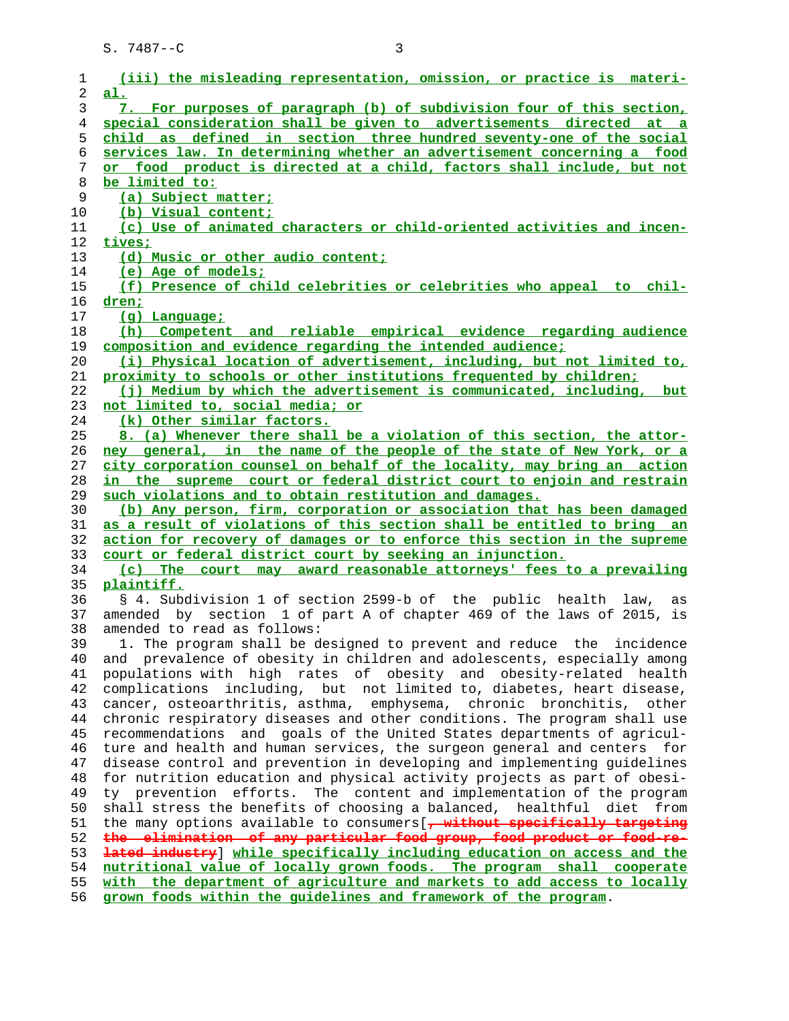| 1        | (iii) the misleading representation, omission, or practice is materi-                                                                            |
|----------|--------------------------------------------------------------------------------------------------------------------------------------------------|
| 2        | al.                                                                                                                                              |
| 3        | 7. For purposes of paragraph (b) of subdivision four of this section,                                                                            |
| 4        | special consideration shall be given to advertisements directed at a                                                                             |
| 5        | child as defined in section three hundred seventy-one of the social                                                                              |
| 6        | services law. In determining whether an advertisement concerning a food                                                                          |
| 7        | or food product is directed at a child, factors shall include, but not                                                                           |
| 8        | be limited to:                                                                                                                                   |
| 9        | (a) Subject matter;                                                                                                                              |
| 10       | (b) Visual content;                                                                                                                              |
| 11       | (c) Use of animated characters or child-oriented activities and incen-                                                                           |
| 12       | tives;                                                                                                                                           |
| 13       | (d) Music or other audio content;                                                                                                                |
| 14       | (e) Age of models;                                                                                                                               |
| 15       | (f) Presence of child celebrities or celebrities who appeal to chil-                                                                             |
| 16       | <u>dren;</u>                                                                                                                                     |
| 17       | (g) Language;                                                                                                                                    |
| 18       | (h) Competent and reliable empirical evidence regarding audience                                                                                 |
| 19       | composition and evidence regarding the intended audience;                                                                                        |
| 20       | (i) Physical location of advertisement, including, but not limited to,                                                                           |
| 21       | proximity to schools or other institutions frequented by children;                                                                               |
| 22       | (j) Medium by which the advertisement is communicated, including, but                                                                            |
| 23       | not limited to, social media; or                                                                                                                 |
| 24       | (k) Other similar factors.                                                                                                                       |
| 25       | 8. (a) Whenever there shall be a violation of this section, the attor-                                                                           |
| 26       | ney general, in the name of the people of the state of New York, or a                                                                            |
| 27       | city corporation counsel on behalf of the locality, may bring an action                                                                          |
| 28       | in the supreme court or federal district court to enjoin and restrain                                                                            |
| 29       | such violations and to obtain restitution and damages.                                                                                           |
| 30       | (b) Any person, firm, corporation or association that has been damaged                                                                           |
| 31       | as a result of violations of this section shall be entitled to bring an                                                                          |
| 32       | action for recovery of damages or to enforce this section in the supreme                                                                         |
| 33       | court or federal district court by seeking an injunction.                                                                                        |
| 34       | (c) The court may award reasonable attorneys' fees to a prevailing                                                                               |
| 35       | plaintiff.                                                                                                                                       |
| 36       | § 4. Subdivision 1 of section 2599-b of the public health law, as                                                                                |
| 37       | amended by section 1 of part A of chapter 469 of the laws of 2015, is                                                                            |
| 38       | amended to read as follows:                                                                                                                      |
| 39       | 1. The program shall be designed to prevent and reduce the incidence                                                                             |
| 40       | and prevalence of obesity in children and adolescents, especially among                                                                          |
| 41       | populations with high rates of obesity and obesity-related health                                                                                |
| 42       | including, but not limited to, diabetes, heart disease,<br>complications                                                                         |
| 43       |                                                                                                                                                  |
| 44       | cancer, osteoarthritis, asthma, emphysema, chronic bronchitis, other<br>chronic respiratory diseases and other conditions. The program shall use |
| 45       | recommendations and goals of the United States departments of agricul-                                                                           |
|          | ture and health and human services, the surgeon general and centers for                                                                          |
| 46       |                                                                                                                                                  |
| 47       | disease control and prevention in developing and implementing guidelines                                                                         |
| 48       | for nutrition education and physical activity projects as part of obesi-                                                                         |
| 49       | ty prevention efforts. The content and implementation of the program                                                                             |
| 50       | shall stress the benefits of choosing a balanced, healthful diet<br>from                                                                         |
| 51       | the many options available to consumers [, without specifically targeting                                                                        |
| 52       | the elimination of any particular food group, food product or food-re-                                                                           |
| 53       | lated industry while specifically including education on access and the                                                                          |
| 54       | nutritional value of locally grown foods. The program shall cooperate                                                                            |
| 55<br>56 | with the department of agriculture and markets to add access to locally<br>grown foods within the quidelines and framework of the program.       |
|          |                                                                                                                                                  |